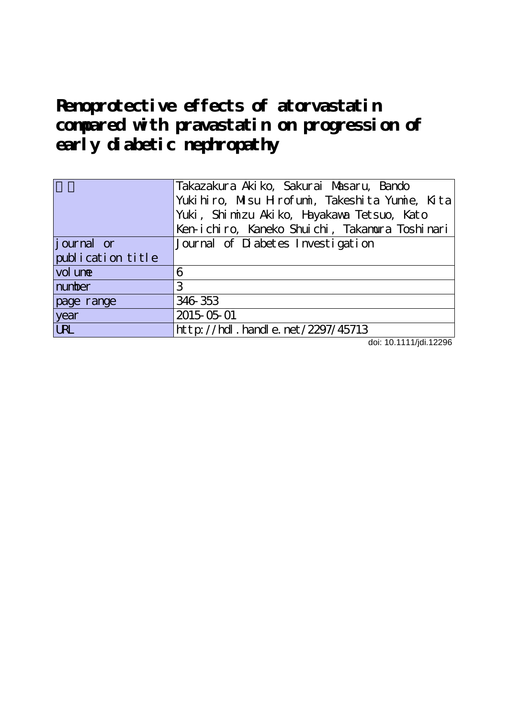# **Renoprotective effects of atorvastatin compared with pravastatin on progression of early diabetic nephropathy**

|                    | Takazakura Akiko, Sakurai Masaru, Bando        |  |  |  |  |  |  |  |
|--------------------|------------------------------------------------|--|--|--|--|--|--|--|
|                    | Yukihiro, Misu Hirofumi, Takeshita Yumie, Kita |  |  |  |  |  |  |  |
|                    | Yuki, Shi mizu Akiko, Hayakawa Tetsuo, Kato    |  |  |  |  |  |  |  |
|                    | Ken-ichiro, Kaneko Shuichi, Takamura Toshinari |  |  |  |  |  |  |  |
| <i>j</i> ournal or | Journal of Diabetes Investigation              |  |  |  |  |  |  |  |
| publication title  |                                                |  |  |  |  |  |  |  |
| vol une            | 6                                              |  |  |  |  |  |  |  |
| number             | 3                                              |  |  |  |  |  |  |  |
| page range         | 346 353                                        |  |  |  |  |  |  |  |
| year               | 2015-05-01                                     |  |  |  |  |  |  |  |
| <b>LRL</b>         | $http$ ://hdl. handle. net/2297/45713          |  |  |  |  |  |  |  |

doi: 10.1111/jdi.12296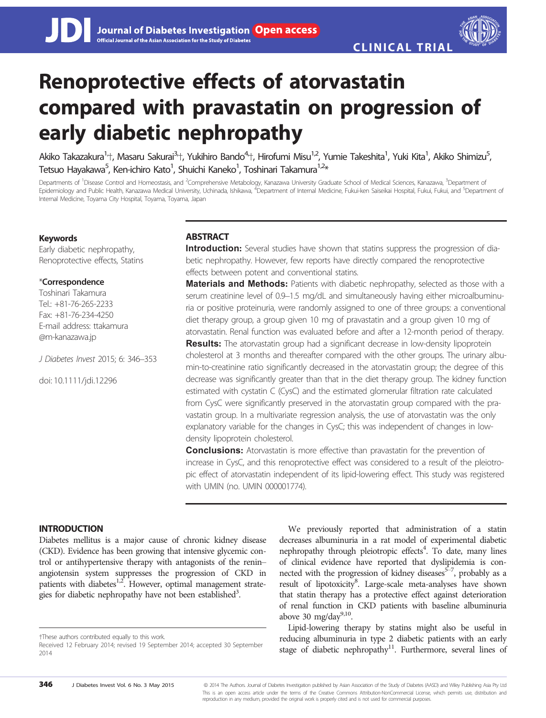# Renoprotective effects of atorvastatin compared with pravastatin on progression of early diabetic nephropathy

Akiko Takazakura<sup>1,</sup>†, Masaru Sakurai<sup>3,</sup>†, Yukihiro Bando<sup>4,</sup>†, Hirofumi Misu<sup>1,2</sup>, Yumie Takeshita<sup>1</sup>, Yuki Kita<sup>1</sup>, Akiko Shimizu<sup>5</sup> ;<br>. Tetsuo Havakawa<sup>5</sup>, Ken-ichiro Kato<sup>1</sup>, Shuichi Kaneko<sup>1</sup>, Toshinari Takamura<sup>1,2</sup>\*

Departments of <sup>1</sup>Disease Control and Homeostasis, and <sup>2</sup>Comprehensive Metabology, Kanazawa University Graduate School of Medical Sciences, Kanazawa, <sup>3</sup>Department of Epidemiology and Public Health, Kanazawa Medical University, Uchinada, Ishikawa, <sup>4</sup>Department of Internal Medicine, Fukui-ken Saiseikai Hospital, Fukui, Fukui, and <sup>5</sup>Department ol Internal Medicine, Toyama City Hospital, Toyama, Toyama, Japan

# Keywords

Early diabetic nephropathy, Renoprotective effects, Statins

## \*Correspondence

Toshinari Takamura Tel.: +81-76-265-2233 Fax: +81-76-234-4250 E-mail address: ttakamura @m-kanazawa.jp

J Diabetes Invest 2015; 6: 346–353

doi: 10.1111/jdi.12296

# **ABSTRACT**

Introduction: Several studies have shown that statins suppress the progression of diabetic nephropathy. However, few reports have directly compared the renoprotective effects between potent and conventional statins.

**Materials and Methods:** Patients with diabetic nephropathy, selected as those with a serum creatinine level of 0.9–1.5 mg/dL and simultaneously having either microalbuminuria or positive proteinuria, were randomly assigned to one of three groups: a conventional diet therapy group, a group given 10 mg of pravastatin and a group given 10 mg of atorvastatin. Renal function was evaluated before and after a 12-month period of therapy. **Results:** The atorvastatin group had a significant decrease in low-density lipoprotein cholesterol at 3 months and thereafter compared with the other groups. The urinary albumin-to-creatinine ratio significantly decreased in the atorvastatin group; the degree of this decrease was significantly greater than that in the diet therapy group. The kidney function estimated with cystatin C (CysC) and the estimated glomerular filtration rate calculated from CysC were significantly preserved in the atorvastatin group compared with the pravastatin group. In a multivariate regression analysis, the use of atorvastatin was the only explanatory variable for the changes in CysC; this was independent of changes in lowdensity lipoprotein cholesterol.

**Conclusions:** Atorvastatin is more effective than pravastatin for the prevention of increase in CysC, and this renoprotective effect was considered to a result of the pleiotropic effect of atorvastatin independent of its lipid-lowering effect. This study was registered with UMIN (no. UMIN 000001774).

# INTRODUCTION

Diabetes mellitus is a major cause of chronic kidney disease (CKD). Evidence has been growing that intensive glycemic control or antihypertensive therapy with antagonists of the renin– angiotensin system suppresses the progression of CKD in patients with diabetes<sup>1,2</sup>. However, optimal management strategies for diabetic nephropathy have not been established<sup>3</sup>.

†These authors contributed equally to this work.

We previously reported that administration of a statin decreases albuminuria in a rat model of experimental diabetic nephropathy through pleiotropic effects<sup>4</sup>. To date, many lines of clinical evidence have reported that dyslipidemia is connected with the progression of kidney diseases $\bar{5}$ , probably as a result of lipotoxicity<sup>8</sup>. Large-scale meta-analyses have shown that statin therapy has a protective effect against deterioration of renal function in CKD patients with baseline albuminuria above 30 mg/day $9,10$ .

Lipid-lowering therapy by statins might also be useful in reducing albuminuria in type 2 diabetic patients with an early stage of diabetic nephropathy<sup>11</sup>. Furthermore, several lines of

346 J Diabetes Invest Vol. 6 No. 3 May 2015 <sup>©</sup> 2014 The Authors. Journal of Diabetes Investigation published by Asian Association of the Study of Diabetes (AASD) and Wiley Publishing Asia Pty Ltd This is an open access article under the terms of the Creative Commons Attribution-NonCommercial License, which permits use, distribution and reproduction in any medium, provided the original work is properly cited and is not used for commercial purposes.

Received 12 February 2014; revised 19 September 2014; accepted 30 September 2014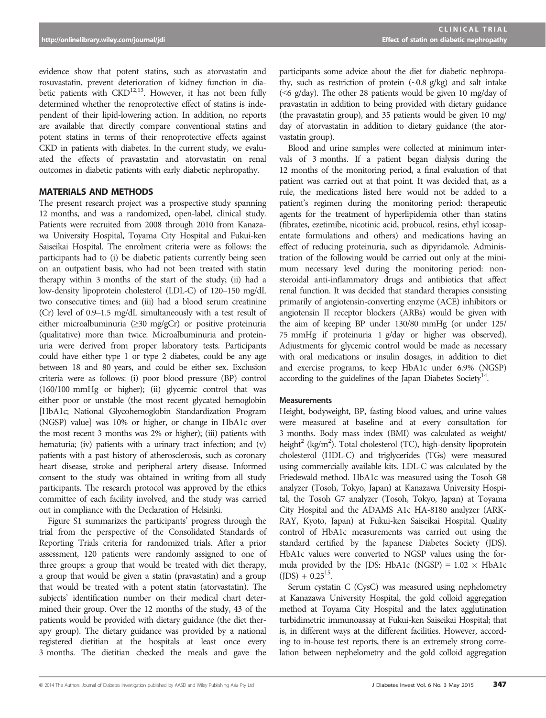evidence show that potent statins, such as atorvastatin and rosuvastatin, prevent deterioration of kidney function in diabetic patients with  $\text{CKD}^{12,13}$ . However, it has not been fully determined whether the renoprotective effect of statins is independent of their lipid-lowering action. In addition, no reports are available that directly compare conventional statins and potent statins in terms of their renoprotective effects against CKD in patients with diabetes. In the current study, we evaluated the effects of pravastatin and atorvastatin on renal outcomes in diabetic patients with early diabetic nephropathy.

# MATERIALS AND METHODS

The present research project was a prospective study spanning 12 months, and was a randomized, open-label, clinical study. Patients were recruited from 2008 through 2010 from Kanazawa University Hospital, Toyama City Hospital and Fukui-ken Saiseikai Hospital. The enrolment criteria were as follows: the participants had to (i) be diabetic patients currently being seen on an outpatient basis, who had not been treated with statin therapy within 3 months of the start of the study; (ii) had a low-density lipoprotein cholesterol (LDL-C) of 120–150 mg/dL two consecutive times; and (iii) had a blood serum creatinine (Cr) level of 0.9–1.5 mg/dL simultaneously with a test result of either microalbuminuria ( $\geq$ 30 mg/gCr) or positive proteinuria (qualitative) more than twice. Microalbuminuria and proteinuria were derived from proper laboratory tests. Participants could have either type 1 or type 2 diabetes, could be any age between 18 and 80 years, and could be either sex. Exclusion criteria were as follows: (i) poor blood pressure (BP) control (160/100 mmHg or higher); (ii) glycemic control that was either poor or unstable (the most recent glycated hemoglobin [HbA1c; National Glycohemoglobin Standardization Program (NGSP) value] was 10% or higher, or change in HbA1c over the most recent 3 months was 2% or higher); (iii) patients with hematuria; (iv) patients with a urinary tract infection; and (v) patients with a past history of atherosclerosis, such as coronary heart disease, stroke and peripheral artery disease. Informed consent to the study was obtained in writing from all study participants. The research protocol was approved by the ethics committee of each facility involved, and the study was carried out in compliance with the Declaration of Helsinki.

Figure S1 summarizes the participants' progress through the trial from the perspective of the Consolidated Standards of Reporting Trials criteria for randomized trials. After a prior assessment, 120 patients were randomly assigned to one of three groups: a group that would be treated with diet therapy, a group that would be given a statin (pravastatin) and a group that would be treated with a potent statin (atorvastatin). The subjects' identification number on their medical chart determined their group. Over the 12 months of the study, 43 of the patients would be provided with dietary guidance (the diet therapy group). The dietary guidance was provided by a national registered dietitian at the hospitals at least once every 3 months. The dietitian checked the meals and gave the

participants some advice about the diet for diabetic nephropathy, such as restriction of protein  $(\sim 0.8 \text{ g/kg})$  and salt intake ( $\leq 6$  g/day). The other 28 patients would be given 10 mg/day of pravastatin in addition to being provided with dietary guidance (the pravastatin group), and 35 patients would be given 10 mg/ day of atorvastatin in addition to dietary guidance (the atorvastatin group).

Blood and urine samples were collected at minimum intervals of 3 months. If a patient began dialysis during the 12 months of the monitoring period, a final evaluation of that patient was carried out at that point. It was decided that, as a rule, the medications listed here would not be added to a patient's regimen during the monitoring period: therapeutic agents for the treatment of hyperlipidemia other than statins (fibrates, ezetimibe, nicotinic acid, probucol, resins, ethyl icosapentate formulations and others) and medications having an effect of reducing proteinuria, such as dipyridamole. Administration of the following would be carried out only at the minimum necessary level during the monitoring period: nonsteroidal anti-inflammatory drugs and antibiotics that affect renal function. It was decided that standard therapies consisting primarily of angiotensin-converting enzyme (ACE) inhibitors or angiotensin II receptor blockers (ARBs) would be given with the aim of keeping BP under 130/80 mmHg (or under 125/ 75 mmHg if proteinuria 1 g/day or higher was observed). Adjustments for glycemic control would be made as necessary with oral medications or insulin dosages, in addition to diet and exercise programs, to keep HbA1c under 6.9% (NGSP) according to the guidelines of the Japan Diabetes Society<sup>14</sup>.

## **Measurements**

Height, bodyweight, BP, fasting blood values, and urine values were measured at baseline and at every consultation for 3 months. Body mass index (BMI) was calculated as weight/ height<sup>2</sup> (kg/m<sup>2</sup>). Total cholesterol (TC), high-density lipoprotein cholesterol (HDL-C) and triglycerides (TGs) were measured using commercially available kits. LDL-C was calculated by the Friedewald method. HbA1c was measured using the Tosoh G8 analyzer (Tosoh, Tokyo, Japan) at Kanazawa University Hospital, the Tosoh G7 analyzer (Tosoh, Tokyo, Japan) at Toyama City Hospital and the ADAMS A1c HA-8180 analyzer (ARK-RAY, Kyoto, Japan) at Fukui-ken Saiseikai Hospital. Quality control of HbA1c measurements was carried out using the standard certified by the Japanese Diabetes Society (JDS). HbA1c values were converted to NGSP values using the formula provided by the JDS: HbA1c (NGSP) =  $1.02 \times$  HbA1c  $(IDS) + 0.25^{15}$ .

Serum cystatin C (CysC) was measured using nephelometry at Kanazawa University Hospital, the gold colloid aggregation method at Toyama City Hospital and the latex agglutination turbidimetric immunoassay at Fukui-ken Saiseikai Hospital; that is, in different ways at the different facilities. However, according to in-house test reports, there is an extremely strong correlation between nephelometry and the gold colloid aggregation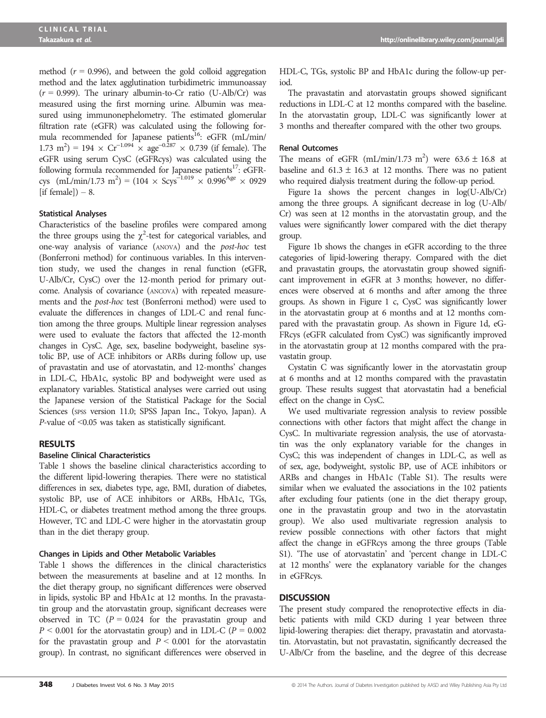method ( $r = 0.996$ ), and between the gold colloid aggregation method and the latex agglutination turbidimetric immunoassay  $(r = 0.999)$ . The urinary albumin-to-Cr ratio (U-Alb/Cr) was measured using the first morning urine. Albumin was measured using immunonephelometry. The estimated glomerular filtration rate (eGFR) was calculated using the following formula recommended for Japanese patients<sup>16</sup>: eGFR (mL/min/  $(1.73 \text{ m}^2) = 194 \times \text{Cr}^{-1.094} \times \text{age}^{-0.287} \times 0.739$  (if female). The eGFR using serum CysC (eGFRcys) was calculated using the following formula recommended for Japanese patients<sup>17</sup>: eGFRcys (mL/min/1.73 m<sup>2</sup>) = (104 × Scys<sup>-1.019</sup> × 0.996<sup>Age</sup> × 0929 [if female] $) - 8$ .

## Statistical Analyses

Characteristics of the baseline profiles were compared among the three groups using the  $\chi^2$ -test for categorical variables, and one-way analysis of variance (ANOVA) and the post-hoc test (Bonferroni method) for continuous variables. In this intervention study, we used the changes in renal function (eGFR, U-Alb/Cr, CysC) over the 12-month period for primary outcome. Analysis of covariance (ANCOVA) with repeated measurements and the post-hoc test (Bonferroni method) were used to evaluate the differences in changes of LDL-C and renal function among the three groups. Multiple linear regression analyses were used to evaluate the factors that affected the 12-month changes in CysC. Age, sex, baseline bodyweight, baseline systolic BP, use of ACE inhibitors or ARBs during follow up, use of pravastatin and use of atorvastatin, and 12-months' changes in LDL-C, HbA1c, systolic BP and bodyweight were used as explanatory variables. Statistical analyses were carried out using the Japanese version of the Statistical Package for the Social Sciences (spss version 11.0; SPSS Japan Inc., Tokyo, Japan). A P-value of <0.05 was taken as statistically significant.

# RESULTS

## Baseline Clinical Characteristics

Table 1 shows the baseline clinical characteristics according to the different lipid-lowering therapies. There were no statistical differences in sex, diabetes type, age, BMI, duration of diabetes, systolic BP, use of ACE inhibitors or ARBs, HbA1c, TGs, HDL-C, or diabetes treatment method among the three groups. However, TC and LDL-C were higher in the atorvastatin group than in the diet therapy group.

#### Changes in Lipids and Other Metabolic Variables

Table 1 shows the differences in the clinical characteristics between the measurements at baseline and at 12 months. In the diet therapy group, no significant differences were observed in lipids, systolic BP and HbA1c at 12 months. In the pravastatin group and the atorvastatin group, significant decreases were observed in TC ( $P = 0.024$  for the pravastatin group and  $P < 0.001$  for the atorvastatin group) and in LDL-C ( $P = 0.002$ ) for the pravastatin group and  $P \leq 0.001$  for the atorvastatin group). In contrast, no significant differences were observed in HDL-C, TGs, systolic BP and HbA1c during the follow-up period.

The pravastatin and atorvastatin groups showed significant reductions in LDL-C at 12 months compared with the baseline. In the atorvastatin group, LDL-C was significantly lower at 3 months and thereafter compared with the other two groups.

#### Renal Outcomes

The means of eGFR (mL/min/1.73 m<sup>2</sup>) were  $63.6 \pm 16.8$  at baseline and  $61.3 \pm 16.3$  at 12 months. There was no patient who required dialysis treatment during the follow-up period.

Figure 1a shows the percent changes in log(U-Alb/Cr) among the three groups. A significant decrease in log (U-Alb/ Cr) was seen at 12 months in the atorvastatin group, and the values were significantly lower compared with the diet therapy group.

Figure 1b shows the changes in eGFR according to the three categories of lipid-lowering therapy. Compared with the diet and pravastatin groups, the atorvastatin group showed significant improvement in eGFR at 3 months; however, no differences were observed at 6 months and after among the three groups. As shown in Figure 1 c, CysC was significantly lower in the atorvastatin group at 6 months and at 12 months compared with the pravastatin group. As shown in Figure 1d, eG-FRcys (eGFR calculated from CysC) was significantly improved in the atorvastatin group at 12 months compared with the pravastatin group.

Cystatin C was significantly lower in the atorvastatin group at 6 months and at 12 months compared with the pravastatin group. These results suggest that atorvastatin had a beneficial effect on the change in CysC.

We used multivariate regression analysis to review possible connections with other factors that might affect the change in CysC. In multivariate regression analysis, the use of atorvastatin was the only explanatory variable for the changes in CysC; this was independent of changes in LDL-C, as well as of sex, age, bodyweight, systolic BP, use of ACE inhibitors or ARBs and changes in HbA1c (Table S1). The results were similar when we evaluated the associations in the 102 patients after excluding four patients (one in the diet therapy group, one in the pravastatin group and two in the atorvastatin group). We also used multivariate regression analysis to review possible connections with other factors that might affect the change in eGFRcys among the three groups (Table S1). 'The use of atorvastatin' and 'percent change in LDL-C at 12 months' were the explanatory variable for the changes in eGFRcys.

# **DISCUSSION**

The present study compared the renoprotective effects in diabetic patients with mild CKD during 1 year between three lipid-lowering therapies: diet therapy, pravastatin and atorvastatin. Atorvastatin, but not pravastatin, significantly decreased the U-Alb/Cr from the baseline, and the degree of this decrease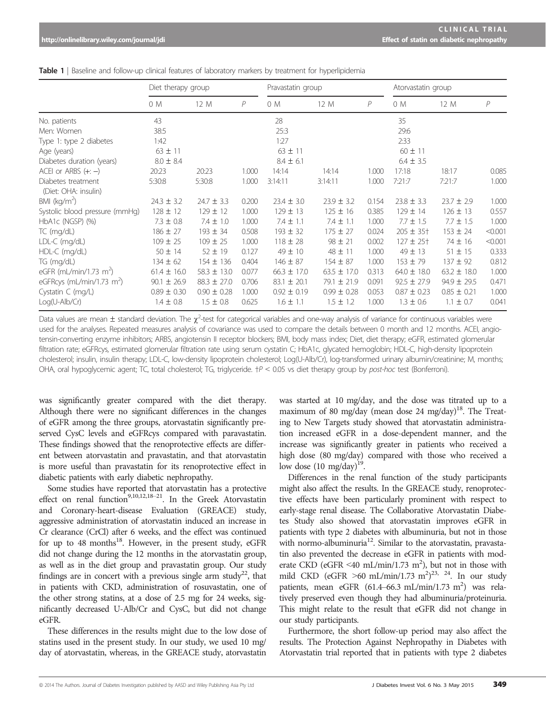|                                            | Diet therapy group |                 |       | Pravastatin group |                 |       | Atorvastatin group |                 |                |
|--------------------------------------------|--------------------|-----------------|-------|-------------------|-----------------|-------|--------------------|-----------------|----------------|
|                                            | 0 M                | 12 M            | P     | 0 M               | 12 M            | P     | 0 M                | 12 M            | $\overline{P}$ |
| No. patients                               | 43                 |                 |       | 28                |                 |       | 35                 |                 |                |
| Men: Women                                 | 38:5               |                 |       | 25:3              |                 |       | 29:6               |                 |                |
| Type 1: type 2 diabetes                    | 1:42               |                 |       | 1:27              |                 |       | 2:33               |                 |                |
| Age (years)                                | $63 \pm 11$        |                 |       | $63 \pm 11$       |                 |       | $60 \pm 11$        |                 |                |
| Diabetes duration (years)                  | $8.0 \pm 8.4$      |                 |       | $8.4 \pm 6.1$     |                 |       | $6.4 \pm 3.5$      |                 |                |
| ACEI or ARBS $(+; -)$                      | 20:23              | 20:23           | 1.000 | 14:14             | 14:14           | 1.000 | 17:18              | 18:17           | 0.085          |
| Diabetes treatment<br>(Diet: OHA: insulin) | 5:30:8             | 5:30:8          | 1.000 | 3:14:11           | 3:14:11         | 1.000 | 7:21:7             | 7:21:7          | 1.000          |
| BMI ( $kg/m2$ )                            | $24.3 \pm 3.2$     | $24.7 \pm 3.3$  | 0.200 | $23.4 \pm 3.0$    | $23.9 \pm 3.2$  | 0.154 | $23.8 \pm 3.3$     | $23.7 \pm 2.9$  | 1.000          |
| Systolic blood pressure (mmHg)             | $128 \pm 12$       | $129 \pm 12$    | 1.000 | $129 \pm 13$      | $125 \pm 16$    | 0.385 | $129 \pm 14$       | $126 \pm 13$    | 0.557          |
| HbA1c (NGSP) (%)                           | $7.3 \pm 0.8$      | $7.4 \pm 1.0$   | 1.000 | $7.4 \pm 1.1$     | $7.4 \pm 1.1$   | 1.000 | $7.7 \pm 1.5$      | $7.7 \pm 1.5$   | 1.000          |
| $TC$ (mg/dL)                               | $186 \pm 27$       | $193 \pm 34$    | 0.508 | $193 \pm 32$      | $175 \pm 27$    | 0.024 | $205 \pm 35^{+}$   | $153 \pm 24$    | < 0.001        |
| LDL-C (mg/dL)                              | $109 \pm 25$       | $109 \pm 25$    | 1.000 | $118 \pm 28$      | $98 \pm 21$     | 0.002 | $127 \pm 25$ †     | 74 ± 16         | < 0.001        |
| HDL-C (mg/dL)                              | $50 \pm 14$        | $52 \pm 19$     | 0.127 | $49 \pm 10$       | 48 ± 11         | 1.000 | $49 \pm 13$        | $51 \pm 15$     | 0.333          |
| TG (mg/dL)                                 | $134 \pm 62$       | $154 \pm 136$   | 0.404 | $146 \pm 87$      | $154 \pm 87$    | 1.000 | $153 \pm 79$       | $137 \pm 92$    | 0.812          |
| eGFR (mL/min/1.73 m <sup>2</sup> )         | $61.4 \pm 16.0$    | $58.3 \pm 13.0$ | 0.077 | $66.3 \pm 17.0$   | $63.5 \pm 17.0$ | 0.313 | $64.0 \pm 18.0$    | $63.2 \pm 18.0$ | 1.000          |
| eGFRcys (mL/min/1.73 m <sup>2</sup> )      | $90.1 \pm 26.9$    | $88.3 \pm 27.0$ | 0.706 | $83.1 \pm 20.1$   | $79.1 \pm 21.9$ | 0.091 | $92.5 \pm 27.9$    | $94.9 \pm 29.5$ | 0.471          |
| Cystatin C (mg/L)                          | $0.89 \pm 0.30$    | $0.90 \pm 0.28$ | 1.000 | $0.92 \pm 0.19$   | $0.99 \pm 0.28$ | 0.053 | $0.87 \pm 0.23$    | $0.85 \pm 0.21$ | 1.000          |
| $Log(U-Alb/Cr)$                            | $1.4 \pm 0.8$      | $1.5 \pm 0.8$   | 0.625 | $1.6 \pm 1.1$     | $1.5 \pm 1.2$   | 1.000 | $1.3 \pm 0.6$      | $1.1 \pm 0.7$   | 0.041          |

**Table 1** | Baseline and follow-up clinical features of laboratory markers by treatment for hyperlipidemia

Data values are mean  $\pm$  standard deviation. The  $\chi^2$ -test for categorical variables and one-way analysis of variance for continuous variables were used for the analyses. Repeated measures analysis of covariance was used to compare the details between 0 month and 12 months. ACEI, angiotensin-converting enzyme inhibitors; ARBS, angiotensin II receptor blockers; BMI, body mass index; Diet, diet therapy; eGFR, estimated glomerular filtration rate; eGFRcys, estimated glomerular filtration rate using serum cystatin C; HbA1c, glycated hemoglobin; HDL-C, high-density lipoprotein cholesterol; insulin, insulin therapy; LDL-C, low-density lipoprotein cholesterol; Log(U-Alb/Cr), log-transformed urinary albumin/creatinine; M, months; OHA, oral hypoglycemic agent; TC, total cholesterol; TG, triglyceride. †P < 0.05 vs diet therapy group by post-hoc test (Bonferroni).

was significantly greater compared with the diet therapy. Although there were no significant differences in the changes of eGFR among the three groups, atorvastatin significantly preserved CysC levels and eGFRcys compared with paravastatin. These findings showed that the renoprotective effects are different between atorvastatin and pravastatin, and that atorvastatin is more useful than pravastatin for its renoprotective effect in diabetic patients with early diabetic nephropathy.

Some studies have reported that atorvastatin has a protective effect on renal function<sup>9,10,12,18–21</sup>. In the Greek Atorvastatin and Coronary-heart-disease Evaluation (GREACE) study, aggressive administration of atorvastatin induced an increase in Cr clearance (CrCl) after 6 weeks, and the effect was continued for up to  $48$  months<sup>18</sup>. However, in the present study, eGFR did not change during the 12 months in the atorvastatin group, as well as in the diet group and pravastatin group. Our study findings are in concert with a previous single arm study<sup>22</sup>, that in patients with CKD, administration of rosuvastatin, one of the other strong statins, at a dose of 2.5 mg for 24 weeks, significantly decreased U-Alb/Cr and CysC, but did not change eGFR.

These differences in the results might due to the low dose of statins used in the present study. In our study, we used 10 mg/ day of atorvastatin, whereas, in the GREACE study, atorvastatin

was started at 10 mg/day, and the dose was titrated up to a maximum of 80 mg/day (mean dose 24 mg/day)<sup>18</sup>. The Treating to New Targets study showed that atorvastatin administration increased eGFR in a dose-dependent manner, and the increase was significantly greater in patients who received a high dose (80 mg/day) compared with those who received a low dose  $(10 \text{ mg/day})^{19}$ .

Differences in the renal function of the study participants might also affect the results. In the GREACE study, renoprotective effects have been particularly prominent with respect to early-stage renal disease. The Collaborative Atorvastatin Diabetes Study also showed that atorvastatin improves eGFR in patients with type 2 diabetes with albuminuria, but not in those with normo-albuminuria<sup>12</sup>. Similar to the atorvastatin, pravastatin also prevented the decrease in eGFR in patients with moderate CKD (eGFR <40 mL/min/1.73 m<sup>2</sup>), but not in those with mild CKD (eGFR  $\geq 60$  mL/min/1.73 m<sup>2</sup>)<sup>23, 24</sup>. In our study patients, mean eGFR (61.4-66.3 mL/min/1.73 m<sup>2</sup>) was relatively preserved even though they had albuminuria/proteinuria. This might relate to the result that eGFR did not change in our study participants.

Furthermore, the short follow-up period may also affect the results. The Protection Against Nephropathy in Diabetes with Atorvastatin trial reported that in patients with type 2 diabetes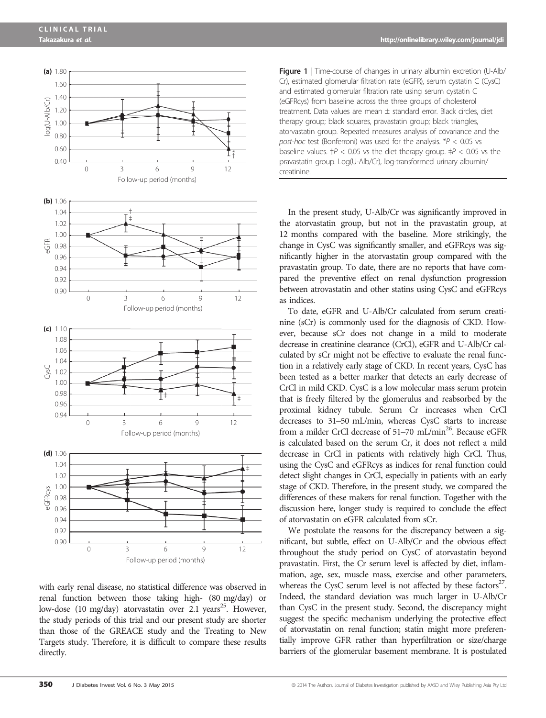

with early renal disease, no statistical difference was observed in renal function between those taking high- (80 mg/day) or low-dose (10 mg/day) atorvastatin over 2.1 years<sup>25</sup>. However, the study periods of this trial and our present study are shorter than those of the GREACE study and the Treating to New Targets study. Therefore, it is difficult to compare these results directly.

Figure 1 | Time-course of changes in urinary albumin excretion (U-Alb/ Cr), estimated glomerular filtration rate (eGFR), serum cystatin C (CysC) and estimated glomerular filtration rate using serum cystatin C (eGFRcys) from baseline across the three groups of cholesterol treatment. Data values are mean  $\pm$  standard error. Black circles, diet therapy group; black squares, pravastatin group; black triangles, atorvastatin group. Repeated measures analysis of covariance and the post-hoc test (Bonferroni) was used for the analysis.  $*P < 0.05$  vs baseline values.  $\uparrow$  P < 0.05 vs the diet therapy group.  $\uparrow$  P < 0.05 vs the pravastatin group. Log(U-Alb/Cr), log-transformed urinary albumin/ creatinine.

In the present study, U-Alb/Cr was significantly improved in the atorvastatin group, but not in the pravastatin group, at 12 months compared with the baseline. More strikingly, the change in CysC was significantly smaller, and eGFRcys was significantly higher in the atorvastatin group compared with the pravastatin group. To date, there are no reports that have compared the preventive effect on renal dysfunction progression between atrovastatin and other statins using CysC and eGFRcys as indices.

To date, eGFR and U-Alb/Cr calculated from serum creatinine (sCr) is commonly used for the diagnosis of CKD. However, because sCr does not change in a mild to moderate decrease in creatinine clearance (CrCl), eGFR and U-Alb/Cr calculated by sCr might not be effective to evaluate the renal function in a relatively early stage of CKD. In recent years, CysC has been tested as a better marker that detects an early decrease of CrCl in mild CKD. CysC is a low molecular mass serum protein that is freely filtered by the glomerulus and reabsorbed by the proximal kidney tubule. Serum Cr increases when CrCl decreases to 31–50 mL/min, whereas CysC starts to increase from a milder CrCl decrease of 51–70 mL/min<sup>26</sup>. Because eGFR is calculated based on the serum Cr, it does not reflect a mild decrease in CrCl in patients with relatively high CrCl. Thus, using the CysC and eGFRcys as indices for renal function could detect slight changes in CrCl, especially in patients with an early stage of CKD. Therefore, in the present study, we compared the differences of these makers for renal function. Together with the discussion here, longer study is required to conclude the effect of atorvastatin on eGFR calculated from sCr.

We postulate the reasons for the discrepancy between a significant, but subtle, effect on U-Alb/Cr and the obvious effect throughout the study period on CysC of atorvastatin beyond pravastatin. First, the Cr serum level is affected by diet, inflammation, age, sex, muscle mass, exercise and other parameters, whereas the CysC serum level is not affected by these  $factors<sup>27</sup>$ . Indeed, the standard deviation was much larger in U-Alb/Cr than CysC in the present study. Second, the discrepancy might suggest the specific mechanism underlying the protective effect of atorvastatin on renal function; statin might more preferentially improve GFR rather than hyperfiltration or size/charge barriers of the glomerular basement membrane. It is postulated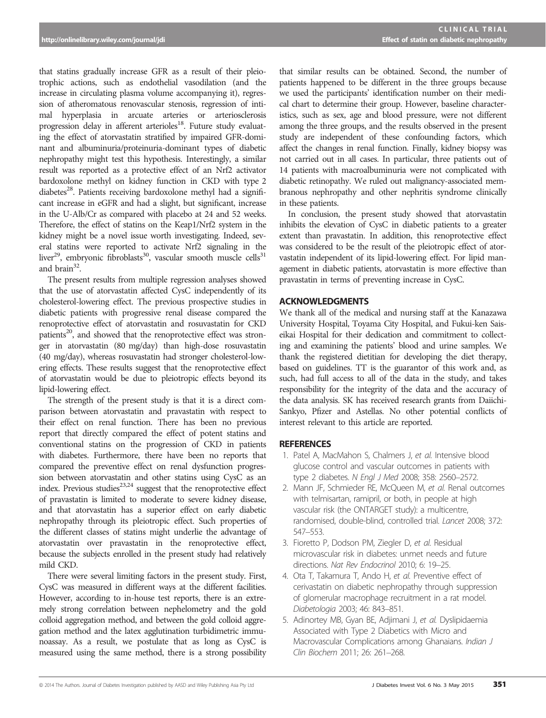that statins gradually increase GFR as a result of their pleiotrophic actions, such as endothelial vasodilation (and the increase in circulating plasma volume accompanying it), regression of atheromatous renovascular stenosis, regression of intimal hyperplasia in arcuate arteries or arteriosclerosis progression delay in afferent arterioles<sup>18</sup>. Future study evaluating the effect of atorvastatin stratified by impaired GFR-dominant and albuminuria/proteinuria-dominant types of diabetic nephropathy might test this hypothesis. Interestingly, a similar result was reported as a protective effect of an Nrf2 activator bardoxolone methyl on kidney function in CKD with type 2 diabetes<sup>28</sup>. Patients receiving bardoxolone methyl had a significant increase in eGFR and had a slight, but significant, increase in the U-Alb/Cr as compared with placebo at 24 and 52 weeks. Therefore, the effect of statins on the Keap1/Nrf2 system in the kidney might be a novel issue worth investigating. Indeed, several statins were reported to activate Nrf2 signaling in the liver<sup>29</sup>, embryonic fibroblasts<sup>30</sup>, vascular smooth muscle cells<sup>31</sup> and  $brain^{32}$ 

The present results from multiple regression analyses showed that the use of atorvastatin affected CysC independently of its cholesterol-lowering effect. The previous prospective studies in diabetic patients with progressive renal disease compared the renoprotective effect of atorvastatin and rosuvastatin for CKD patients<sup>20</sup>, and showed that the renoprotective effect was stronger in atorvastatin (80 mg/day) than high-dose rosuvastatin (40 mg/day), whereas rosuvastatin had stronger cholesterol-lowering effects. These results suggest that the renoprotective effect of atorvastatin would be due to pleiotropic effects beyond its lipid-lowering effect.

The strength of the present study is that it is a direct comparison between atorvastatin and pravastatin with respect to their effect on renal function. There has been no previous report that directly compared the effect of potent statins and conventional statins on the progression of CKD in patients with diabetes. Furthermore, there have been no reports that compared the preventive effect on renal dysfunction progression between atorvastatin and other statins using CysC as an index. Previous studies $^{23,24}$  suggest that the renoprotective effect of pravastatin is limited to moderate to severe kidney disease, and that atorvastatin has a superior effect on early diabetic nephropathy through its pleiotropic effect. Such properties of the different classes of statins might underlie the advantage of atorvastatin over pravastatin in the renoprotective effect, because the subjects enrolled in the present study had relatively mild CKD.

There were several limiting factors in the present study. First, CysC was measured in different ways at the different facilities. However, according to in-house test reports, there is an extremely strong correlation between nephelometry and the gold colloid aggregation method, and between the gold colloid aggregation method and the latex agglutination turbidimetric immunoassay. As a result, we postulate that as long as CysC is measured using the same method, there is a strong possibility that similar results can be obtained. Second, the number of patients happened to be different in the three groups because we used the participants' identification number on their medical chart to determine their group. However, baseline characteristics, such as sex, age and blood pressure, were not different among the three groups, and the results observed in the present study are independent of these confounding factors, which affect the changes in renal function. Finally, kidney biopsy was not carried out in all cases. In particular, three patients out of 14 patients with macroalbuminuria were not complicated with diabetic retinopathy. We ruled out malignancy-associated membranous nephropathy and other nephritis syndrome clinically in these patients.

In conclusion, the present study showed that atorvastatin inhibits the elevation of CysC in diabetic patients to a greater extent than pravastatin. In addition, this renoprotective effect was considered to be the result of the pleiotropic effect of atorvastatin independent of its lipid-lowering effect. For lipid management in diabetic patients, atorvastatin is more effective than pravastatin in terms of preventing increase in CysC.

# ACKNOWLEDGMENTS

We thank all of the medical and nursing staff at the Kanazawa University Hospital, Toyama City Hospital, and Fukui-ken Saiseikai Hospital for their dedication and commitment to collecting and examining the patients' blood and urine samples. We thank the registered dietitian for developing the diet therapy, based on guidelines. TT is the guarantor of this work and, as such, had full access to all of the data in the study, and takes responsibility for the integrity of the data and the accuracy of the data analysis. SK has received research grants from Daiichi-Sankyo, Pfizer and Astellas. No other potential conflicts of interest relevant to this article are reported.

# **REFERENCES**

- 1. Patel A, MacMahon S, Chalmers J, et al. Intensive blood glucose control and vascular outcomes in patients with type 2 diabetes. N Engl J Med 2008; 358: 2560–2572.
- 2. Mann JF, Schmieder RE, McQueen M, et al. Renal outcomes with telmisartan, ramipril, or both, in people at high vascular risk (the ONTARGET study): a multicentre, randomised, double-blind, controlled trial. Lancet 2008; 372: 547–553.
- 3. Fioretto P, Dodson PM, Ziegler D, et al. Residual microvascular risk in diabetes: unmet needs and future directions. Nat Rev Endocrinol 2010; 6: 19–25.
- 4. Ota T, Takamura T, Ando H, et al. Preventive effect of cerivastatin on diabetic nephropathy through suppression of glomerular macrophage recruitment in a rat model. Diabetologia 2003; 46: 843–851.
- 5. Adinortey MB, Gyan BE, Adjimani J, et al. Dyslipidaemia Associated with Type 2 Diabetics with Micro and Macrovascular Complications among Ghanaians. Indian J Clin Biochem 2011; 26: 261–268.

<sup>© 2014</sup> The Authors. Journal of Diabetes Investigation published by AASD and Wiley Publishing Asia Pty Ltd J Diabetes Invest Vol. 6 No. 3 May 2015 351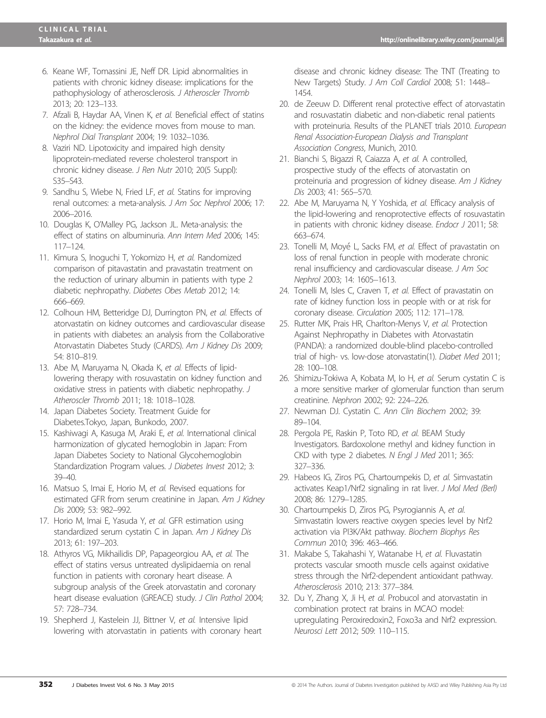- 6. Keane WF, Tomassini JE, Neff DR. Lipid abnormalities in patients with chronic kidney disease: implications for the pathophysiology of atherosclerosis. J Atheroscler Thromb 2013; 20: 123–133.
- 7. Afzali B, Haydar AA, Vinen K, et al. Beneficial effect of statins on the kidney: the evidence moves from mouse to man. Nephrol Dial Transplant 2004; 19: 1032–1036.
- 8. Vaziri ND. Lipotoxicity and impaired high density lipoprotein-mediated reverse cholesterol transport in chronic kidney disease. J Ren Nutr 2010; 20(5 Suppl): S35–S43.
- 9. Sandhu S, Wiebe N, Fried LF, et al. Statins for improving renal outcomes: a meta-analysis. J Am Soc Nephrol 2006; 17: 2006–2016.
- 10. Douglas K, O'Malley PG, Jackson JL. Meta-analysis: the effect of statins on albuminuria. Ann Intern Med 2006; 145: 117–124.
- 11. Kimura S, Inoguchi T, Yokomizo H, et al. Randomized comparison of pitavastatin and pravastatin treatment on the reduction of urinary albumin in patients with type 2 diabetic nephropathy. Diabetes Obes Metab 2012; 14: 666–669.
- 12. Colhoun HM, Betteridge DJ, Durrington PN, et al. Effects of atorvastatin on kidney outcomes and cardiovascular disease in patients with diabetes: an analysis from the Collaborative Atorvastatin Diabetes Study (CARDS). Am J Kidney Dis 2009; 54: 810–819.
- 13. Abe M, Maruyama N, Okada K, et al. Effects of lipidlowering therapy with rosuvastatin on kidney function and oxidative stress in patients with diabetic nephropathy. J Atheroscler Thromb 2011; 18: 1018–1028.
- 14. Japan Diabetes Society. Treatment Guide for Diabetes.Tokyo, Japan, Bunkodo, 2007.
- 15. Kashiwagi A, Kasuga M, Araki E, et al. International clinical harmonization of glycated hemoglobin in Japan: From Japan Diabetes Society to National Glycohemoglobin Standardization Program values. J Diabetes Invest 2012; 3: 39–40.
- 16. Matsuo S, Imai E, Horio M, et al. Revised equations for estimated GFR from serum creatinine in Japan. Am J Kidney Dis 2009; 53: 982–992.
- 17. Horio M, Imai E, Yasuda Y, et al. GFR estimation using standardized serum cystatin C in Japan. Am J Kidney Dis 2013; 61: 197–203.
- 18. Athyros VG, Mikhailidis DP, Papageorgiou AA, et al. The effect of statins versus untreated dyslipidaemia on renal function in patients with coronary heart disease. A subgroup analysis of the Greek atorvastatin and coronary heart disease evaluation (GREACE) study. J Clin Pathol 2004; 57: 728–734.
- 19. Shepherd J, Kastelein JJ, Bittner V, et al. Intensive lipid lowering with atorvastatin in patients with coronary heart

disease and chronic kidney disease: The TNT (Treating to New Targets) Study. J Am Coll Cardiol 2008; 51: 1448– 1454.

- 20. de Zeeuw D. Different renal protective effect of atorvastatin and rosuvastatin diabetic and non-diabetic renal patients with proteinuria. Results of the PLANET trials 2010. European Renal Association-European Dialysis and Transplant Association Congress, Munich, 2010.
- 21. Bianchi S, Bigazzi R, Caiazza A, et al. A controlled, prospective study of the effects of atorvastatin on proteinuria and progression of kidney disease. Am J Kidney Dis 2003; 41: 565–570.
- 22. Abe M, Maruyama N, Y Yoshida, et al. Efficacy analysis of the lipid-lowering and renoprotective effects of rosuvastatin in patients with chronic kidney disease. Endocr J 2011; 58: 663–674.
- 23. Tonelli M, Moyé L, Sacks FM, et al. Effect of pravastatin on loss of renal function in people with moderate chronic renal insufficiency and cardiovascular disease. J Am Soc Nephrol 2003; 14: 1605–1613.
- 24. Tonelli M, Isles C, Craven T, et al. Effect of pravastatin on rate of kidney function loss in people with or at risk for coronary disease. Circulation 2005; 112: 171–178.
- 25. Rutter MK, Prais HR, Charlton-Menys V, et al. Protection Against Nephropathy in Diabetes with Atorvastatin (PANDA): a randomized double-blind placebo-controlled trial of high- vs. low-dose atorvastatin(1). Diabet Med 2011; 28: 100–108.
- 26. Shimizu-Tokiwa A, Kobata M, Io H, et al. Serum cystatin C is a more sensitive marker of glomerular function than serum creatinine. Nephron 2002; 92: 224–226.
- 27. Newman DJ. Cystatin C. Ann Clin Biochem 2002; 39: 89–104.
- 28. Pergola PE, Raskin P, Toto RD, et al. BEAM Study Investigators. Bardoxolone methyl and kidney function in CKD with type 2 diabetes. N Engl J Med 2011; 365: 327–336.
- 29. Habeos IG, Ziros PG, Chartoumpekis D, et al. Simvastatin activates Keap1/Nrf2 signaling in rat liver. J Mol Med (Berl) 2008; 86: 1279–1285.
- 30. Chartoumpekis D, Ziros PG, Psyrogiannis A, et al. Simvastatin lowers reactive oxygen species level by Nrf2 activation via PI3K/Akt pathway. Biochem Biophys Res Commun 2010; 396: 463–466.
- 31. Makabe S, Takahashi Y, Watanabe H, et al. Fluvastatin protects vascular smooth muscle cells against oxidative stress through the Nrf2-dependent antioxidant pathway. Atherosclerosis 2010; 213: 377–384.
- 32. Du Y, Zhang X, Ji H, et al. Probucol and atorvastatin in combination protect rat brains in MCAO model: upregulating Peroxiredoxin2, Foxo3a and Nrf2 expression. Neurosci Lett 2012; 509: 110–115.